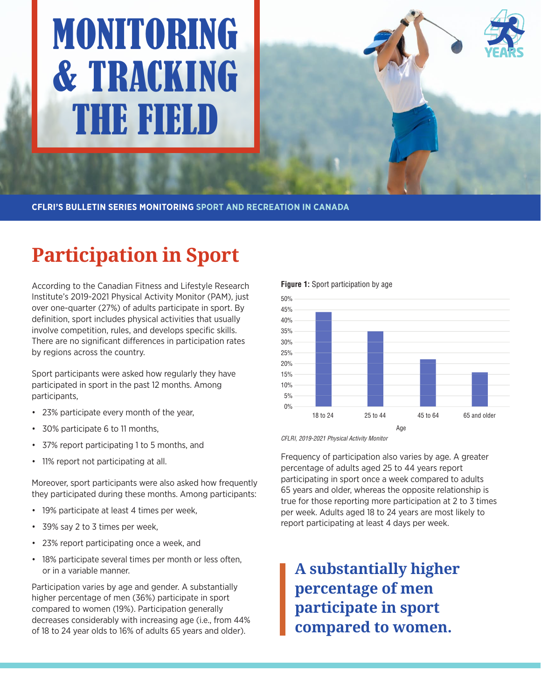# MONITORING & TRACKING THE FIELD



**CFLRI'S BULLETIN SERIES MONITORING SPORT AND RECREATION IN CANADA**

## **Participation in Sport**

According to the Canadian Fitness and Lifestyle Research Institute's 2019-2021 Physical Activity Monitor (PAM), just over one-quarter (27%) of adults participate in sport. By definition, sport includes physical activities that usually involve competition, rules, and develops specific skills. There are no significant differences in participation rates by regions across the country.

Sport participants were asked how regularly they have participated in sport in the past 12 months. Among participants,

- 23% participate every month of the year,
- 30% participate 6 to 11 months,
- 37% report participating 1 to 5 months, and
- 11% report not participating at all.

Moreover, sport participants were also asked how frequently they participated during these months. Among participants:

- 19% participate at least 4 times per week,
- 39% say 2 to 3 times per week,
- 23% report participating once a week, and
- 18% participate several times per month or less often, or in a variable manner.

Participation varies by age and gender. A substantially higher percentage of men (36%) participate in sport compared to women (19%). Participation generally decreases considerably with increasing age (i.e., from 44% of 18 to 24 year olds to 16% of adults 65 years and older).

**Figure 1:** Sport participation by age



CFLRI, 2019-2021 Physical Activity Monitor

Frequency of participation also varies by age. A greater percentage of adults aged 25 to 44 years report participating in sport once a week compared to adults 65 years and older, whereas the opposite relationship is true for those reporting more participation at 2 to 3 times per week. Adults aged 18 to 24 years are most likely to report participating at least 4 days per week.

**A substantially higher percentage of men participate in sport compared to women.**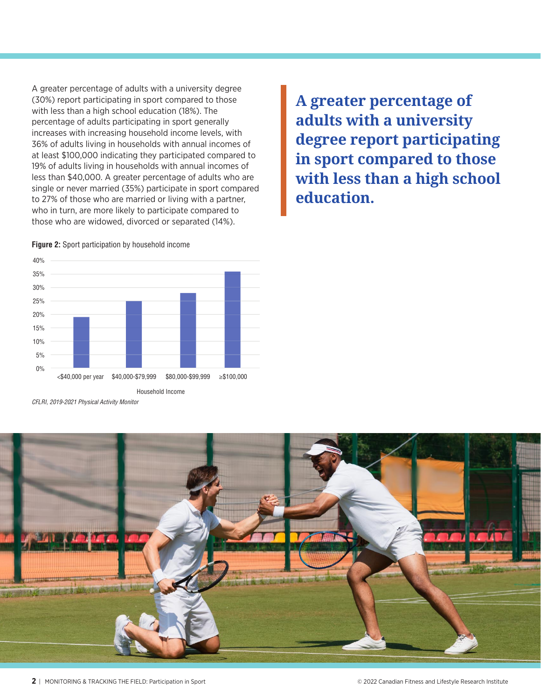A greater percentage of adults with a university degree (30%) report participating in sport compared to those with less than a high school education (18%). The percentage of adults participating in sport generally increases with increasing household income levels, with 36% of adults living in households with annual incomes of at least \$100,000 indicating they participated compared to 19% of adults living in households with annual incomes of less than \$40,000. A greater percentage of adults who are single or never married (35%) participate in sport compared to 27% of those who are married or living with a partner, who in turn, are more likely to participate compared to those who are widowed, divorced or separated (14%).

**A greater percentage of adults with a university degree report participating in sport compared to those with less than a high school education.** 



**Figure 2:** Sport participation by household income

CFLRI, 2019-2021 Physical Activity Monitor

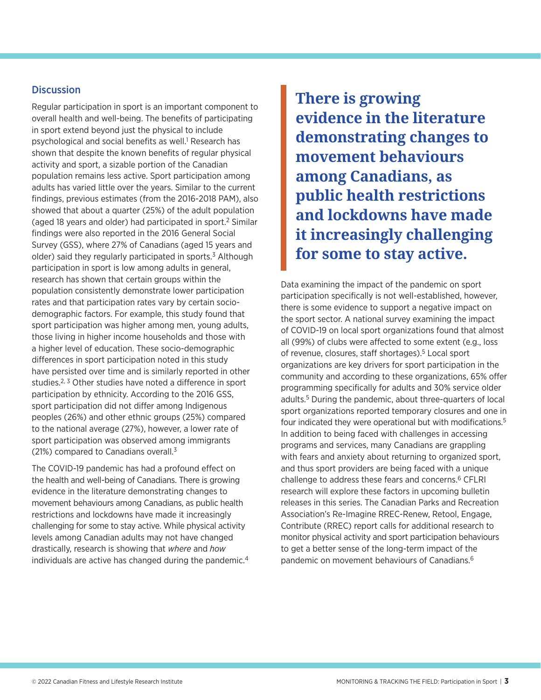#### **Discussion**

Regular participation in sport is an important component to overall health and well-being. The benefits of participating in sport extend beyond just the physical to include psychological and social benefits as well.<sup>1</sup> Research has shown that despite the known benefits of regular physical activity and sport, a sizable portion of the Canadian population remains less active. Sport participation among adults has varied little over the years. Similar to the current findings, previous estimates (from the 2016-2018 PAM), also showed that about a quarter (25%) of the adult population (aged 18 years and older) had participated in sport.2 Similar findings were also reported in the 2016 General Social Survey (GSS), where 27% of Canadians (aged 15 years and older) said they regularly participated in sports.<sup>3</sup> Although participation in sport is low among adults in general, research has shown that certain groups within the population consistently demonstrate lower participation rates and that participation rates vary by certain sociodemographic factors. For example, this study found that sport participation was higher among men, young adults, those living in higher income households and those with a higher level of education. These socio-demographic differences in sport participation noted in this study have persisted over time and is similarly reported in other studies.<sup>2, 3</sup> Other studies have noted a difference in sport participation by ethnicity. According to the 2016 GSS, sport participation did not differ among Indigenous peoples (26%) and other ethnic groups (25%) compared to the national average (27%), however, a lower rate of sport participation was observed among immigrants (21%) compared to Canadians overall.3

The COVID-19 pandemic has had a profound effect on the health and well-being of Canadians. There is growing evidence in the literature demonstrating changes to movement behaviours among Canadians, as public health restrictions and lockdowns have made it increasingly challenging for some to stay active. While physical activity levels among Canadian adults may not have changed drastically, research is showing that *where* and *how* individuals are active has changed during the pandemic.4 **There is growing evidence in the literature demonstrating changes to movement behaviours among Canadians, as public health restrictions and lockdowns have made it increasingly challenging for some to stay active.** 

Data examining the impact of the pandemic on sport participation specifically is not well-established, however, there is some evidence to support a negative impact on the sport sector. A national survey examining the impact of COVID-19 on local sport organizations found that almost all (99%) of clubs were affected to some extent (e.g., loss of revenue, closures, staff shortages).<sup>5</sup> Local sport organizations are key drivers for sport participation in the community and according to these organizations, 65% offer programming specifically for adults and 30% service older adults.5 During the pandemic, about three-quarters of local sport organizations reported temporary closures and one in four indicated they were operational but with modifications.<sup>5</sup> In addition to being faced with challenges in accessing programs and services, many Canadians are grappling with fears and anxiety about returning to organized sport, and thus sport providers are being faced with a unique challenge to address these fears and concerns.6 CFLRI research will explore these factors in upcoming bulletin releases in this series. The Canadian Parks and Recreation Association's Re-Imagine RREC-Renew, Retool, Engage, Contribute (RREC) report calls for additional research to monitor physical activity and sport participation behaviours to get a better sense of the long-term impact of the pandemic on movement behaviours of Canadians.6